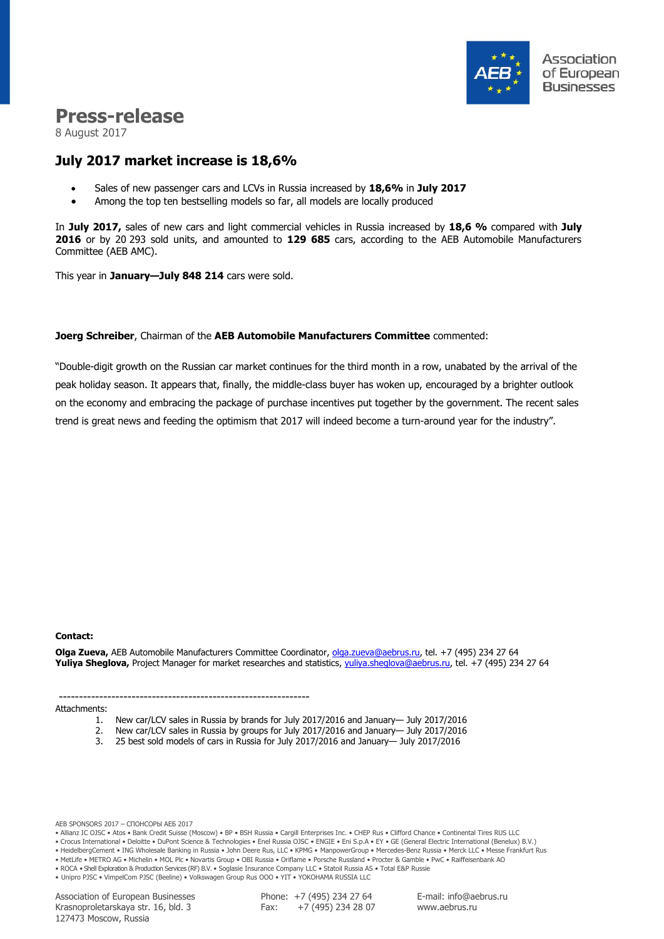

# **Press-release**

8 August 2017

# **July 2017 market increase is 18,6%**

- Sales of new passenger cars and LCVs in Russia increased by **18,6%** in **July 2017**
- Among the top ten bestselling models so far, all models are locally produced

In **July 2017,** sales of new cars and light commercial vehicles in Russia increased by **18,6 %** compared with **July 2016** or by 20 293 sold units, and amounted to **129 685** cars, according to the AEB Automobile Manufacturers Committee (AEB AMC).

This year in **January—July 848 214** cars were sold.

#### **Joerg Schreiber**, Chairman of the **AEB Automobile Manufacturers Committee** commented:

"Double-digit growth on the Russian car market continues for the third month in a row, unabated by the arrival of the peak holiday season. It appears that, finally, the middle-class buyer has woken up, encouraged by a brighter outlook on the economy and embracing the package of purchase incentives put together by the government. The recent sales trend is great news and feeding the optimism that 2017 will indeed become a turn-around year for the industry".

#### **Сontact:**

**Olga Zueva,** AEB Automobile Manufacturers Committee Coordinator, [olga.zueva@aebrus.ru,](mailto:olga.zueva@aebrus.ru) tel. +7 (495) 234 27 64 **Yuliya Sheglova,** Project Manager for market researches and statistics, [yuliya.sheglova@aebrus.ru,](mailto:yuliya.sheglova@aebrus.ru) tel. +7 (495) 234 27 64

-------------------------------------------------------------- Attachments:

- 1. New car/LCV sales in Russia by brands for July 2017/2016 and January— July 2017/2016
- 2. New car/LCV sales in Russia by groups for July 2017/2016 and January— July 2017/2016
- 3. 25 best sold models of cars in Russia for July 2017/2016 and January— July 2017/2016

AEB SPONSORS 2017 – СПОНСОРЫ АЕБ 2017

• Allianz IC OJSC • Atos • Bank Credit Suisse (Moscow) • BP • BSH Russia • Cargill Enterprises Inc. • CHEP Rus • Clifford Chance • Continental Tires RUS LLC

• Crocus International • Deloitte • DuPont Science & Technologies • Enel Russia OJSC • ENGIE • Eni S.p.A • EY • GE (General Electric International (Benelux) B.V.)

• HeidelbergCement • ING Wholesale Banking in Russia • John Deere Rus, LLC • KPMG • ManpowerGroup • Mercedes-Benz Russia • Merck LLC • Messe Frankfurt Rus • MetLife • METRO AG • Michelin • MOL Plc • Novartis Group • OBI Russia • Oriflame • Porsche Russland • Procter & Gamble • PwC • Raiffeisenbank AO

• ROCA • Shell Exploration & Production Services (RF) B.V. • Soglasie Insurance Company LLC • Statoil Russia AS • Total E&P Russie

• Unipro PJSC • VimpelCom PJSC (Beeline) • Volkswagen Group Rus OOO • YIT • YOKOHAMA RUSSIA LLC

Association of European Businesses Krasnoproletarskaya str. 16, bld. 3 127473 Moscow, Russia

Phone: +7 (495) 234 27 64 Fax:  $+7(495)$  234 28 07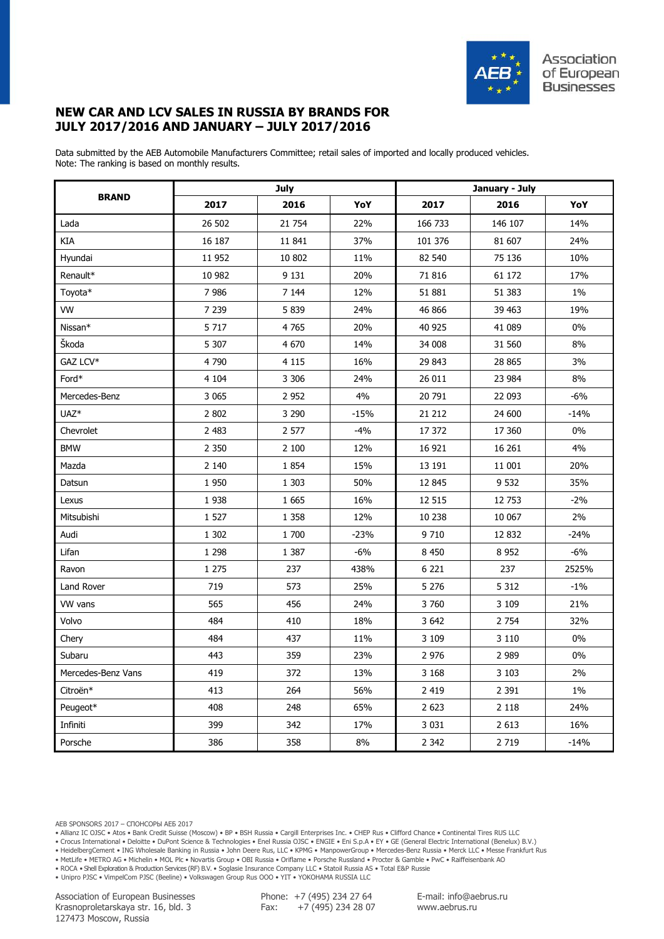

## **NEW CAR AND LCV SALES IN RUSSIA BY BRANDS FOR JULY 2017/2016 AND JANUARY – JULY 2017/2016**

Data submitted by the AEB Automobile Manufacturers Committee; retail sales of imported and locally produced vehicles. Note: The ranking is based on monthly results.

|                    |         | <b>July</b> |        | January - July |         |        |  |  |
|--------------------|---------|-------------|--------|----------------|---------|--------|--|--|
| <b>BRAND</b>       | 2017    | 2016        | YoY    | 2017           | 2016    | YoY    |  |  |
| Lada               | 26 502  | 21 7 54     | 22%    | 166 733        | 146 107 | 14%    |  |  |
| КIА                | 16 187  | 11 841      | 37%    | 101 376        | 81 607  | 24%    |  |  |
| Hyundai            | 11 952  | 10 802      | 11%    | 82 540         | 75 136  | 10%    |  |  |
| Renault*           | 10 982  | 9 1 3 1     | 20%    | 71 816         | 61 172  | 17%    |  |  |
| Toyota*            | 7986    | 7 1 4 4     | 12%    | 51 881         | 51 383  | $1\%$  |  |  |
| <b>VW</b>          | 7 2 3 9 | 5 8 3 9     | 24%    | 46 866         | 39 463  | 19%    |  |  |
| Nissan*            | 5 7 1 7 | 4765        | 20%    | 40 925         | 41 089  | 0%     |  |  |
| Škoda              | 5 3 0 7 | 4 670       | 14%    | 34 008         | 31 560  | 8%     |  |  |
| GAZ LCV*           | 4790    | 4 1 1 5     | 16%    | 29 843         | 28 865  | 3%     |  |  |
| Ford*              | 4 104   | 3 3 0 6     | 24%    | 26 011         | 23 984  | 8%     |  |  |
| Mercedes-Benz      | 3 0 6 5 | 2 9 5 2     | 4%     | 20 791         | 22 093  | $-6%$  |  |  |
| UAZ <sup>*</sup>   | 2 802   | 3 2 9 0     | $-15%$ | 21 212         | 24 600  | $-14%$ |  |  |
| Chevrolet          | 2 4 8 3 | 2 577       | $-4%$  | 17 372         | 17 360  | $0\%$  |  |  |
| <b>BMW</b>         | 2 3 5 0 | 2 100       | 12%    | 16 921         | 16 26 1 | 4%     |  |  |
| Mazda              | 2 1 4 0 | 1854        | 15%    | 13 191         | 11 001  | 20%    |  |  |
| Datsun             | 1 9 5 0 | 1 3 0 3     | 50%    | 12 845         | 9 5 32  | 35%    |  |  |
| Lexus              | 1938    | 1 6 6 5     | 16%    | 12 515         | 12 753  | $-2%$  |  |  |
| Mitsubishi         | 1 5 2 7 | 1 3 5 8     | 12%    | 10 238         | 10 067  | 2%     |  |  |
| Audi               | 1 3 0 2 | 1 700       | $-23%$ | 9 7 10         | 12 832  | $-24%$ |  |  |
| Lifan              | 1 2 9 8 | 1 3 8 7     | $-6%$  | 8 4 5 0        | 8 9 5 2 | $-6%$  |  |  |
| Ravon              | 1 2 7 5 | 237         | 438%   | 6 2 2 1        | 237     | 2525%  |  |  |
| Land Rover         | 719     | 573         | 25%    | 5 2 7 6        | 5 3 1 2 | $-1\%$ |  |  |
| VW vans            | 565     | 456         | 24%    | 3760           | 3 1 0 9 | 21%    |  |  |
| Volvo              | 484     | 410         | 18%    | 3 6 4 2        | 2 7 5 4 | 32%    |  |  |
| Chery              | 484     | 437         | 11%    | 3 1 0 9        | 3 1 1 0 | 0%     |  |  |
| Subaru             | 443     | 359         | 23%    | 2 9 7 6        | 2 9 8 9 | $0\%$  |  |  |
| Mercedes-Benz Vans | 419     | 372         | 13%    | 3 1 6 8        | 3 1 0 3 | 2%     |  |  |
| Citroën*           | 413     | 264         | 56%    | 2 4 1 9        | 2 3 9 1 | 1%     |  |  |
| Peugeot*           | 408     | 248         | 65%    | 2 6 2 3        | 2 1 1 8 | 24%    |  |  |
| Infiniti           | 399     | 342         | 17%    | 3 0 3 1        | 2 6 1 3 | 16%    |  |  |
| Porsche            | 386     | 358         | 8%     | 2 3 4 2        | 2 7 19  | $-14%$ |  |  |

• Allianz IC OJSC • Atos • Bank Credit Suisse (Moscow) • BP • BSH Russia • Cargill Enterprises Inc. • CHEP Rus • Clifford Chance • Continental Tires RUS LLC

• Crocus International • Deloitte • DuPont Science & Technologies • Enel Russia OJSC • ENGIE • Eni S.p.A • EY • GE (General Electric International (Benelux) B.V.)

• HeidelbergCement • ING Wholesale Banking in Russia • John Deere Rus, LLC • KPMG • ManpowerGroup • Mercedes-Benz Russia • Merck LLC • Messe Frankfurt Rus

• MetLife • METRO AG • Michelin • MOL Plc • Novartis Group • OBI Russia • Oriflame • Porsche Russland • Procter & Gamble • PwC • Raiffeisenbank AO

• ROCA • Shell Exploration & Production Services (RF) B.V. • Soglasie Insurance Company LLC • Statoil Russia AS • Total E&P Russie

• Unipro PJSC • VimpelCom PJSC (Beeline) • Volkswagen Group Rus OOO • YIT • YOKOHAMA RUSSIA LLC

Association of European Businesses Krasnoproletarskaya str. 16, bld. 3 127473 Moscow, Russia

Phone: +7 (495) 234 27 64 Fax:  $+7(495)$  234 28 07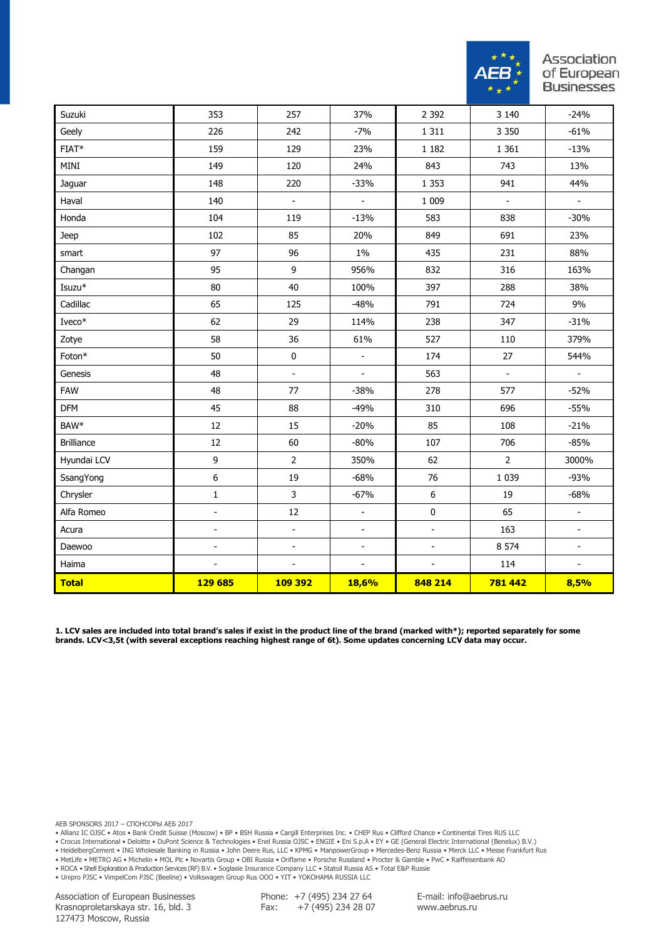

| Suzuki            | 353                      | 257                          | 37%                      | 2 3 9 2          | 3 1 4 0                  | $-24%$                       |
|-------------------|--------------------------|------------------------------|--------------------------|------------------|--------------------------|------------------------------|
| Geely             | 226                      | 242                          | $-7%$                    | 1 3 1 1          | 3 3 5 0                  | $-61%$                       |
| $FIAT*$           | 159                      | 129                          | 23%                      | 1 1 8 2          | 1 3 6 1                  | $-13%$                       |
| MINI              | 149                      | 120                          | 24%                      | 843              | 743                      | 13%                          |
| Jaguar            | 148                      | 220                          | $-33%$                   | 1 3 5 3          | 941                      | 44%                          |
| Haval             | 140                      | $\overline{\phantom{a}}$     | $\Box$                   | 1 0 0 9          | $\overline{\phantom{a}}$ | $\blacksquare$               |
| Honda             | 104                      | 119                          | $-13%$                   | 583              | 838                      | $-30%$                       |
| Jeep              | 102                      | 85                           | 20%                      | 849              | 691                      | 23%                          |
| smart             | 97                       | 96                           | $1\%$                    | 435              | 231                      | 88%                          |
| Changan           | 95                       | 9                            | 956%                     | 832              | 316                      | 163%                         |
| Isuzu*            | 80                       | 40                           | 100%                     | 397              | 288                      | 38%                          |
| Cadillac          | 65                       | 125                          | $-48%$                   | 791              | 724                      | 9%                           |
| $I$ veco $*$      | 62                       | 29                           | 114%                     | 238              | 347                      | $-31%$                       |
| Zotye             | 58                       | 36                           | 61%                      | 527              | 110                      | 379%                         |
| Foton*            | 50                       | $\pmb{0}$                    | $\blacksquare$           | 174              | 27                       | 544%                         |
| Genesis           | 48                       | $\overline{\phantom{a}}$     | $\frac{1}{2}$            | 563              | $\Box$                   | $\blacksquare$               |
| <b>FAW</b>        | 48                       | 77                           | $-38%$                   | 278              | 577                      | $-52%$                       |
| <b>DFM</b>        | 45                       | 88                           | $-49%$                   | 310              | 696                      | $-55%$                       |
| BAW*              | 12                       | 15                           | $-20%$                   | 85               | 108                      | $-21%$                       |
| <b>Brilliance</b> | 12                       | 60                           | $-80%$                   | 107              | 706                      | $-85%$                       |
| Hyundai LCV       | 9                        | $\overline{2}$               | 350%                     | 62               | $\overline{2}$           | 3000%                        |
| SsangYong         | $\boldsymbol{6}$         | 19                           | $-68%$                   | 76               | 1 0 3 9                  | $-93%$                       |
| Chrysler          | $1\,$                    | 3                            | $-67%$                   | $\boldsymbol{6}$ | 19                       | $-68%$                       |
| Alfa Romeo        | $\frac{1}{2}$            | $12\,$                       | $\blacksquare$           | $\pmb{0}$        | 65                       | $\overline{\phantom{a}}$     |
| Acura             | ÷,                       | $\overline{\phantom{a}}$     | $\overline{\phantom{m}}$ | $\blacksquare$   | 163                      | $\overline{a}$               |
| Daewoo            | $\overline{\phantom{0}}$ | $\qquad \qquad \blacksquare$ | $\overline{\phantom{a}}$ | $\blacksquare$   | 8 5 7 4                  | $\qquad \qquad \blacksquare$ |
| Haima             | $\overline{a}$           | $\overline{a}$               | $\blacksquare$           | $\Box$           | 114                      | $\overline{\phantom{a}}$     |
| <b>Total</b>      | 129 685                  | <b>109 392</b>               | 18,6%                    | 848 214          | 781 442                  | 8,5%                         |

**1. LCV sales are included into total brand's sales if exist in the product line of the brand (marked with\*); reported separately for some brands. LCV<3,5t (with several exceptions reaching highest range of 6t). Some updates concerning LCV data may occur.**

AEB SPONSORS 2017 – СПОНСОРЫ АЕБ 2017

• Allianz IC OJSC • Atos • Bank Credit Suisse (Moscow) • BP • BSH Russia • Cargill Enterprises Inc. • CHEP Rus • Clifford Chance • Continental Tires RUS LLC

• Crocus International • Deloitte • DuPont Science & Technologies • Enel Russia OJSC • ENGIE • Eni S.p.A • EY • GE (General Electric International (Benelux) B.V.)

• HeidelbergCement • ING Wholesale Banking in Russia • John Deere Rus, LLC • KPMG • ManpowerGroup • Mercedes-Benz Russia • Merck LLC • Messe Frankfurt Rus

• MetLife • METRO AG • Michelin • MOL Plc • Novartis Group • OBI Russia • Oriflame • Porsche Russland • Procter & Gamble • PwC • Raiffeisenbank AO

• ROCA • Shell Exploration & Production Services (RF) B.V. • Soglasie Insurance Company LLC • Statoil Russia AS • Total E&P Russie

• Unipro PJSC • VimpelCom PJSC (Beeline) • Volkswagen Group Rus OOO • YIT • YOKOHAMA RUSSIA LLC

Association of European Businesses Krasnoproletarskaya str. 16, bld. 3 127473 Moscow, Russia

Phone: +7 (495) 234 27 64 Fax:  $+7(495)$  234 28 07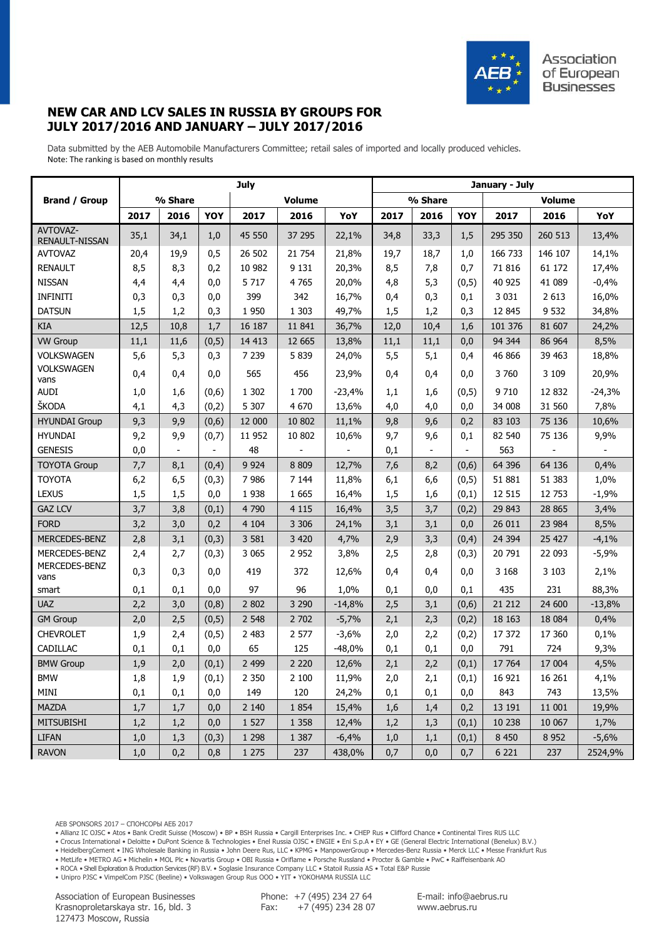

## **NEW CAR AND LCV SALES IN RUSSIA BY GROUPS FOR JULY 2017/2016 AND JANUARY – JULY 2017/2016**

Data submitted by the AEB Automobile Manufacturers Committee; retail sales of imported and locally produced vehicles. Note: The ranking is based on monthly results

|                            | <b>July</b> |                          |        |         |               |          |         | January - July |        |         |               |          |  |
|----------------------------|-------------|--------------------------|--------|---------|---------------|----------|---------|----------------|--------|---------|---------------|----------|--|
| <b>Brand / Group</b>       |             | % Share                  |        |         | <b>Volume</b> |          | % Share |                |        |         | <b>Volume</b> |          |  |
|                            | 2017        | 2016                     | YOY    | 2017    | 2016          | YoY      | 2017    | 2016           | YOY    | 2017    | 2016          | YoY      |  |
| AVTOVAZ-<br>RENAULT-NISSAN | 35,1        | 34,1                     | 1,0    | 45 550  | 37 295        | 22,1%    | 34,8    | 33,3           | 1,5    | 295 350 | 260 513       | 13,4%    |  |
| <b>AVTOVAZ</b>             | 20,4        | 19,9                     | 0,5    | 26 502  | 21 754        | 21,8%    | 19,7    | 18,7           | 1,0    | 166 733 | 146 107       | 14,1%    |  |
| <b>RENAULT</b>             | 8,5         | 8,3                      | 0,2    | 10 982  | 9 1 3 1       | 20,3%    | 8,5     | 7,8            | 0,7    | 71 816  | 61 172        | 17,4%    |  |
| <b>NISSAN</b>              | 4,4         | 4,4                      | 0,0    | 5 7 1 7 | 4765          | 20,0%    | 4,8     | 5,3            | (0, 5) | 40 925  | 41 089        | $-0,4%$  |  |
| <b>INFINITI</b>            | 0,3         | 0,3                      | 0,0    | 399     | 342           | 16,7%    | 0,4     | 0,3            | 0,1    | 3 0 3 1 | 2 6 1 3       | 16,0%    |  |
| <b>DATSUN</b>              | 1,5         | 1,2                      | 0,3    | 1 9 5 0 | 1 3 0 3       | 49,7%    | 1,5     | 1,2            | 0,3    | 12 845  | 9 5 32        | 34,8%    |  |
| <b>KIA</b>                 | 12,5        | 10,8                     | 1,7    | 16 187  | 11 841        | 36,7%    | 12,0    | 10,4           | 1,6    | 101 376 | 81 607        | 24,2%    |  |
| <b>VW Group</b>            | 11,1        | 11,6                     | (0, 5) | 14 413  | 12 6 65       | 13,8%    | 11,1    | 11,1           | 0,0    | 94 344  | 86 964        | 8,5%     |  |
| <b>VOLKSWAGEN</b>          | 5,6         | 5,3                      | 0,3    | 7 2 3 9 | 5 8 3 9       | 24,0%    | 5,5     | 5,1            | 0,4    | 46 866  | 39 463        | 18,8%    |  |
| <b>VOLKSWAGEN</b><br>vans  | 0,4         | 0,4                      | 0,0    | 565     | 456           | 23,9%    | 0,4     | 0,4            | 0,0    | 3 7 6 0 | 3 1 0 9       | 20,9%    |  |
| AUDI                       | 1,0         | 1,6                      | (0,6)  | 1 3 0 2 | 1700          | $-23,4%$ | 1,1     | 1,6            | (0,5)  | 9 7 10  | 12 832        | $-24,3%$ |  |
| ŠKODA                      | 4,1         | 4,3                      | (0,2)  | 5 3 0 7 | 4 6 7 0       | 13,6%    | 4,0     | 4,0            | 0,0    | 34 008  | 31 560        | 7,8%     |  |
| <b>HYUNDAI Group</b>       | 9,3         | 9,9                      | (0,6)  | 12 000  | 10 802        | 11,1%    | 9,8     | 9,6            | 0,2    | 83 103  | 75 136        | 10,6%    |  |
| <b>HYUNDAI</b>             | 9,2         | 9,9                      | (0,7)  | 11 952  | 10 802        | 10,6%    | 9,7     | 9,6            | 0,1    | 82 540  | 75 136        | 9,9%     |  |
| <b>GENESIS</b>             | 0,0         | $\overline{\phantom{a}}$ |        | 48      |               |          | 0,1     |                |        | 563     |               |          |  |
| <b>TOYOTA Group</b>        | 7,7         | 8,1                      | (0,4)  | 9 9 2 4 | 8 8 0 9       | 12,7%    | 7,6     | 8,2            | (0,6)  | 64 39 6 | 64 136        | 0,4%     |  |
| <b>TOYOTA</b>              | 6,2         | 6,5                      | (0,3)  | 7986    | 7 1 4 4       | 11,8%    | 6,1     | 6,6            | (0, 5) | 51 881  | 51 383        | 1,0%     |  |
| <b>LEXUS</b>               | 1,5         | 1,5                      | 0,0    | 1938    | 1 6 6 5       | 16,4%    | 1,5     | 1,6            | (0,1)  | 12 515  | 12 753        | $-1,9%$  |  |
| <b>GAZ LCV</b>             | 3,7         | 3,8                      | (0,1)  | 4 7 9 0 | 4 1 1 5       | 16,4%    | 3,5     | 3,7            | (0,2)  | 29 843  | 28 8 65       | 3,4%     |  |
| <b>FORD</b>                | 3,2         | 3,0                      | 0,2    | 4 1 0 4 | 3 3 0 6       | 24,1%    | 3,1     | 3,1            | 0,0    | 26 011  | 23 984        | 8,5%     |  |
| MERCEDES-BENZ              | 2,8         | 3,1                      | (0,3)  | 3 5 8 1 | 3 4 2 0       | 4,7%     | 2,9     | 3,3            | (0,4)  | 24 3 94 | 25 427        | $-4,1%$  |  |
| MERCEDES-BENZ              | 2,4         | 2,7                      | (0,3)  | 3 0 6 5 | 2 9 5 2       | 3,8%     | 2,5     | 2,8            | (0,3)  | 20 791  | 22 093        | $-5,9%$  |  |
| MERCEDES-BENZ<br>vans      | 0,3         | 0,3                      | 0,0    | 419     | 372           | 12,6%    | 0,4     | 0,4            | 0,0    | 3 1 6 8 | 3 1 0 3       | 2,1%     |  |
| smart                      | 0,1         | 0,1                      | 0,0    | 97      | 96            | 1,0%     | 0,1     | 0,0            | 0,1    | 435     | 231           | 88,3%    |  |
| <b>UAZ</b>                 | 2,2         | 3,0                      | (0, 8) | 2 8 0 2 | 3 2 9 0       | $-14,8%$ | 2,5     | 3,1            | (0,6)  | 21 21 2 | 24 600        | $-13,8%$ |  |
| <b>GM Group</b>            | 2,0         | 2,5                      | (0,5)  | 2 5 4 8 | 2 702         | $-5,7%$  | 2,1     | 2,3            | (0,2)  | 18 16 3 | 18 0 84       | 0,4%     |  |
| <b>CHEVROLET</b>           | 1,9         | 2,4                      | (0, 5) | 2 4 8 3 | 2 577         | $-3,6%$  | 2,0     | 2,2            | (0,2)  | 17 372  | 17 360        | 0,1%     |  |
| CADILLAC                   | 0,1         | 0,1                      | 0,0    | 65      | 125           | $-48,0%$ | 0,1     | 0,1            | 0,0    | 791     | 724           | 9,3%     |  |
| <b>BMW Group</b>           | 1,9         | 2,0                      | (0,1)  | 2 4 9 9 | 2 2 2 0       | 12,6%    | 2,1     | 2,2            | (0,1)  | 17 764  | 17 004        | 4,5%     |  |
| <b>BMW</b>                 | 1,8         | 1,9                      | (0,1)  | 2 3 5 0 | $2\;100$      | 11,9%    | 2,0     | 2,1            | (0,1)  | 16 921  | 16 26 1       | 4,1%     |  |
| MINI                       | 0,1         | 0,1                      | 0,0    | 149     | 120           | 24,2%    | 0,1     | 0,1            | 0,0    | 843     | 743           | 13,5%    |  |
| <b>MAZDA</b>               | 1,7         | 1,7                      | 0,0    | 2 1 4 0 | 1854          | 15,4%    | 1,6     | 1,4            | 0,2    | 13 191  | 11 001        | 19,9%    |  |
| <b>MITSUBISHI</b>          | 1,2         | 1,2                      | 0,0    | 1 5 2 7 | 1 3 5 8       | 12,4%    | 1,2     | 1,3            | (0,1)  | 10 238  | 10 067        | 1,7%     |  |
| <b>LIFAN</b>               | 1,0         | 1,3                      | (0,3)  | 1 2 9 8 | 1 3 8 7       | $-6,4%$  | 1,0     | 1,1            | (0,1)  | 8 4 5 0 | 8 9 5 2       | $-5,6%$  |  |
| <b>RAVON</b>               | 1,0         | 0,2                      | 0,8    | 1 2 7 5 | 237           | 438,0%   | 0,7     | 0,0            | 0,7    | 6 2 2 1 | 237           | 2524,9%  |  |

• Allianz IC OJSC • Atos • Bank Credit Suisse (Moscow) • BP • BSH Russia • Cargill Enterprises Inc. • CHEP Rus • Clifford Chance • Continental Tires RUS LLC

• Crocus International • Deloitte • DuPont Science & Technologies • Enel Russia OJSC • ENGIE • Eni S.p.A • EY • GE (General Electric International (Benelux) B.V.)

• HeidelbergCement • ING Wholesale Banking in Russia • John Deere Rus, LLC • KPMG • ManpowerGroup • Mercedes-Benz Russia • Merck LLC • Messe Frankfurt Rus

• MetLife • METRO AG • Michelin • MOL Plc • Novartis Group • OBI Russia • Oriflame • Porsche Russland • Procter & Gamble • PwC • Raiffeisenbank AO

• ROCA • Shell Exploration & Production Services (RF) B.V. • Soglasie Insurance Company LLC • Statoil Russia AS • Total E&P Russie

• Unipro PJSC • VimpelCom PJSC (Beeline) • Volkswagen Group Rus OOO • YIT • YOKOHAMA RUSSIA LLC

Association of European Businesses Krasnoproletarskaya str. 16, bld. 3 127473 Moscow, Russia

Phone: +7 (495) 234 27 64 Fax:  $+7(495)$  234 28 07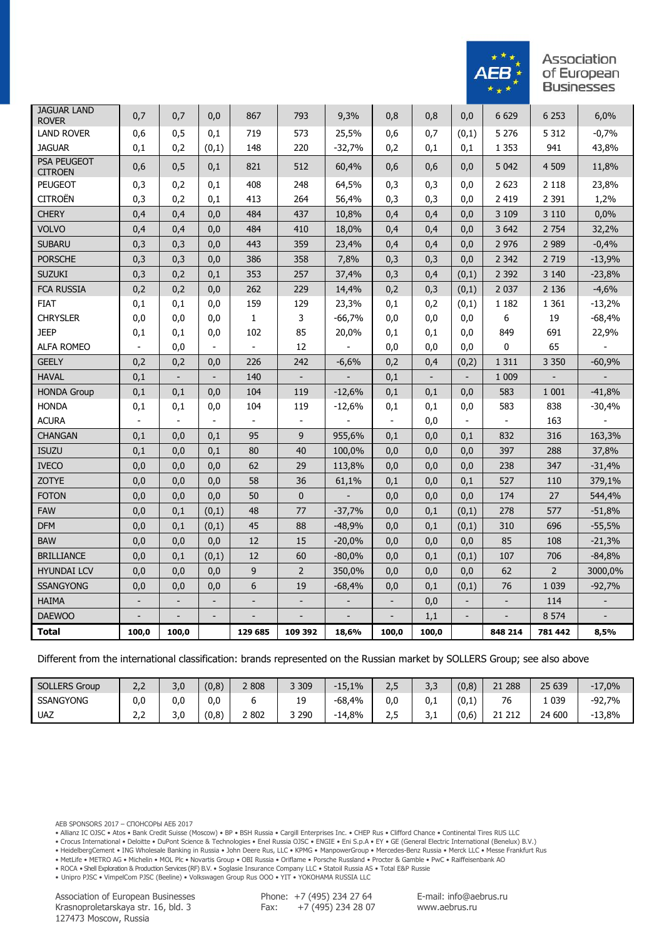

| <b>JAGUAR LAND</b><br><b>ROVER</b>   | 0,7                      | 0,7                      | 0,0                      | 867            | 793                      | 9,3%     | 0,8            | 0,8                      | 0,0                      | 6 6 29         | 6 2 5 3        | 6,0%     |
|--------------------------------------|--------------------------|--------------------------|--------------------------|----------------|--------------------------|----------|----------------|--------------------------|--------------------------|----------------|----------------|----------|
| <b>LAND ROVER</b>                    | 0,6                      | 0,5                      | 0,1                      | 719            | 573                      | 25,5%    | 0,6            | 0,7                      | (0,1)                    | 5 2 7 6        | 5 3 1 2        | $-0,7%$  |
| <b>JAGUAR</b>                        | 0,1                      | 0,2                      | (0,1)                    | 148            | 220                      | $-32,7%$ | 0,2            | 0,1                      | 0,1                      | 1 3 5 3        | 941            | 43,8%    |
| <b>PSA PEUGEOT</b><br><b>CITROEN</b> | 0,6                      | 0,5                      | 0,1                      | 821            | 512                      | 60,4%    | 0,6            | 0,6                      | 0,0                      | 5 0 42         | 4 509          | 11,8%    |
| <b>PEUGEOT</b>                       | 0,3                      | 0,2                      | 0,1                      | 408            | 248                      | 64,5%    | 0,3            | 0,3                      | 0,0                      | 2 6 23         | 2 1 1 8        | 23,8%    |
| <b>CITROËN</b>                       | 0,3                      | 0,2                      | 0,1                      | 413            | 264                      | 56,4%    | 0,3            | 0,3                      | 0,0                      | 2 4 1 9        | 2 3 9 1        | 1,2%     |
| <b>CHERY</b>                         | 0.4                      | 0,4                      | 0.0                      | 484            | 437                      | 10,8%    | 0.4            | 0.4                      | 0.0                      | 3 1 0 9        | 3 1 1 0        | 0.0%     |
| <b>VOLVO</b>                         | 0,4                      | 0,4                      | 0,0                      | 484            | 410                      | 18,0%    | 0,4            | 0,4                      | 0,0                      | 3 6 4 2        | 2 7 5 4        | 32,2%    |
| <b>SUBARU</b>                        | 0,3                      | 0,3                      | 0,0                      | 443            | 359                      | 23,4%    | 0,4            | 0,4                      | 0,0                      | 2 9 7 6        | 2 9 8 9        | $-0,4%$  |
| <b>PORSCHE</b>                       | 0,3                      | 0,3                      | 0,0                      | 386            | 358                      | 7,8%     | 0,3            | 0,3                      | 0,0                      | 2 3 4 2        | 2 7 19         | $-13,9%$ |
| <b>SUZUKI</b>                        | 0,3                      | 0,2                      | 0,1                      | 353            | 257                      | 37,4%    | 0,3            | 0,4                      | (0,1)                    | 2 3 9 2        | 3 1 4 0        | $-23,8%$ |
| <b>FCA RUSSIA</b>                    | 0,2                      | 0,2                      | 0,0                      | 262            | 229                      | 14,4%    | 0,2            | 0,3                      | (0,1)                    | 2 0 3 7        | 2 1 3 6        | $-4,6%$  |
| <b>FIAT</b>                          | 0,1                      | 0,1                      | 0,0                      | 159            | 129                      | 23,3%    | 0,1            | 0,2                      | (0,1)                    | 1 1 8 2        | 1 3 6 1        | $-13,2%$ |
| <b>CHRYSLER</b>                      | 0,0                      | 0,0                      | 0,0                      | 1              | 3                        | $-66,7%$ | 0,0            | 0,0                      | 0,0                      | 6              | 19             | $-68,4%$ |
| <b>JEEP</b>                          | 0,1                      | 0,1                      | 0,0                      | 102            | 85                       | 20,0%    | 0,1            | 0,1                      | 0,0                      | 849            | 691            | 22,9%    |
| <b>ALFA ROMEO</b>                    | $\overline{\phantom{a}}$ | 0,0                      | $\overline{\phantom{a}}$ | $\blacksquare$ | 12                       |          | 0,0            | 0,0                      | 0,0                      | 0              | 65             |          |
| <b>GEELY</b>                         | 0,2                      | 0,2                      | 0,0                      | 226            | 242                      | $-6,6%$  | 0,2            | 0,4                      | (0,2)                    | 1 3 1 1        | 3 3 5 0        | $-60,9%$ |
| <b>HAVAL</b>                         | 0,1                      | $\overline{\phantom{a}}$ | $\overline{\phantom{a}}$ | 140            | $\overline{\phantom{a}}$ |          | 0,1            | $\overline{\phantom{a}}$ | $\overline{\phantom{a}}$ | 1 0 0 9        | $\overline{a}$ |          |
| <b>HONDA Group</b>                   | 0,1                      | 0,1                      | 0,0                      | 104            | 119                      | $-12,6%$ | 0,1            | 0,1                      | 0,0                      | 583            | 1 0 0 1        | $-41,8%$ |
| <b>HONDA</b>                         | 0,1                      | 0,1                      | 0,0                      | 104            | 119                      | $-12,6%$ | 0,1            | 0,1                      | 0,0                      | 583            | 838            | $-30,4%$ |
| <b>ACURA</b>                         | $\blacksquare$           | $\overline{\phantom{a}}$ | $\overline{\phantom{a}}$ | $\blacksquare$ | $\blacksquare$           |          | $\blacksquare$ | 0,0                      | $\overline{\phantom{a}}$ | $\Box$         | 163            |          |
| <b>CHANGAN</b>                       | 0,1                      | 0,0                      | 0,1                      | 95             | 9                        | 955,6%   | 0,1            | 0,0                      | 0,1                      | 832            | 316            | 163,3%   |
| <b>ISUZU</b>                         | 0,1                      | 0,0                      | 0,1                      | 80             | 40                       | 100,0%   | 0,0            | 0,0                      | 0,0                      | 397            | 288            | 37,8%    |
| <b>IVECO</b>                         | 0,0                      | 0,0                      | 0,0                      | 62             | 29                       | 113,8%   | 0,0            | 0,0                      | 0,0                      | 238            | 347            | $-31,4%$ |
| <b>ZOTYE</b>                         | 0,0                      | 0,0                      | 0,0                      | 58             | 36                       | 61,1%    | 0,1            | 0,0                      | 0,1                      | 527            | 110            | 379,1%   |
| <b>FOTON</b>                         | 0,0                      | 0,0                      | 0,0                      | 50             | $\overline{0}$           |          | 0,0            | 0,0                      | 0,0                      | 174            | 27             | 544,4%   |
| <b>FAW</b>                           | 0,0                      | 0,1                      | (0,1)                    | 48             | 77                       | $-37,7%$ | 0,0            | 0,1                      | (0,1)                    | 278            | 577            | $-51,8%$ |
| <b>DFM</b>                           | 0.0                      | 0.1                      | (0,1)                    | 45             | 88                       | $-48,9%$ | 0.0            | 0.1                      | (0,1)                    | 310            | 696            | $-55,5%$ |
| <b>BAW</b>                           | 0,0                      | 0,0                      | 0,0                      | 12             | 15                       | $-20,0%$ | 0,0            | 0,0                      | 0,0                      | 85             | 108            | $-21,3%$ |
| <b>BRILLIANCE</b>                    | 0,0                      | 0,1                      | (0,1)                    | 12             | 60                       | $-80,0%$ | 0,0            | 0,1                      | (0,1)                    | 107            | 706            | $-84,8%$ |
| <b>HYUNDAI LCV</b>                   | 0,0                      | 0,0                      | 0,0                      | 9              | $\overline{2}$           | 350,0%   | 0,0            | 0,0                      | 0,0                      | 62             | $\overline{2}$ | 3000,0%  |
| <b>SSANGYONG</b>                     | 0,0                      | 0,0                      | 0,0                      | 6              | 19                       | $-68,4%$ | 0,0            | 0,1                      | (0,1)                    | 76             | 1 0 3 9        | $-92,7%$ |
| <b>HAIMA</b>                         |                          |                          |                          |                |                          |          |                | 0,0                      |                          |                | 114            |          |
| <b>DAEWOO</b>                        | $\frac{1}{2}$            | $\blacksquare$           | $\overline{\phantom{a}}$ |                | $\overline{a}$           |          |                | 1,1                      | $\overline{\phantom{a}}$ | $\overline{a}$ | 8 5 7 4        |          |
| <b>Total</b>                         | 100,0                    | 100,0                    |                          | 129 685        | 109 392                  | 18,6%    | 100,0          | 100,0                    |                          | 848 214        | 781 442        | 8,5%     |

Different from the international classification: brands represented on the Russian market by SOLLERS Group; see also above

| <b>SOLLERS Group</b> | $\sim$ $\sim$<br>ے , ے | $\sqrt{ }$<br>$\overline{\phantom{0}}$<br>J.U | (0, 8) | 2 808    | 3 3 0 9                        | $-15,1%$       | $\sim$ $\sim$<br>د ، ک | $\sim$<br>$\overline{\phantom{0}}$<br>د,د | (0,8) | 288<br>$\sim$ $\sim$           | 25 639 | $-17,0%$ |
|----------------------|------------------------|-----------------------------------------------|--------|----------|--------------------------------|----------------|------------------------|-------------------------------------------|-------|--------------------------------|--------|----------|
| <b>SSANGYONG</b>     | 0,0                    | 0.0                                           | 0.0    |          | 19<br>$\overline{\phantom{a}}$ | $.4\%$<br>-68, | 0.0                    | 0.1                                       | (0,1) | $\overline{\phantom{a}}$<br>٬٥ | 039    | $-92,7%$ |
| UAZ                  | ົ<br>ے ۔               | 3,0                                           | (0,8)  | 802<br>∼ | 290<br>ັ                       | $-14.8%$       | $\sim$ $-$<br>۔۔۔      | . ה<br>1.1                                | (0,6) | 21 212<br>$\sim$               | 24 600 | $-13,8%$ |

• Allianz IC OJSC • Atos • Bank Credit Suisse (Moscow) • BP • BSH Russia • Cargill Enterprises Inc. • CHEP Rus • Clifford Chance • Continental Tires RUS LLC

• Crocus International • Deloitte • DuPont Science & Technologies • Enel Russia OJSC • ENGIE • Eni S.p.A • EY • GE (General Electric International (Benelux) B.V.)

• HeidelbergCement • ING Wholesale Banking in Russia • John Deere Rus, LLC • KPMG • ManpowerGroup • Mercedes-Benz Russia • Merck LLC • Messe Frankfurt Rus

• MetLife • METRO AG • Michelin • MOL Plc • Novartis Group • OBI Russia • Oriflame • Porsche Russland • Procter & Gamble • PwC • Raiffeisenbank AO

• ROCA • Shell Exploration & Production Services (RF) B.V. • Soglasie Insurance Company LLC • Statoil Russia AS • Total E&P Russie

• Unipro PJSC • VimpelCom PJSC (Beeline) • Volkswagen Group Rus OOO • YIT • YOKOHAMA RUSSIA LLC

Association of European Businesses Krasnoproletarskaya str. 16, bld. 3 127473 Moscow, Russia

Phone: +7 (495) 234 27 64 Fax:  $+7(495)$  234 28 07

AEB SPONSORS 2017 – СПОНСОРЫ АЕБ 2017